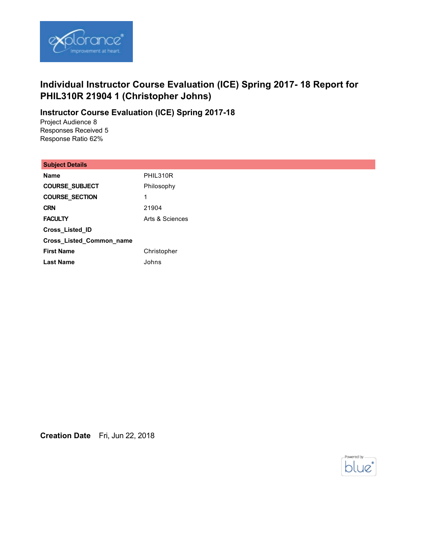

# **Individual Instructor Course Evaluation (ICE) Spring 2017- 18 Report for PHIL310R 21904 1 (Christopher Johns)**

## **Instructor Course Evaluation (ICE) Spring 2017-18**

Project Audience 8 Responses Received 5 Response Ratio 62%

#### **Subject Details**

| <b>Name</b>              | PHIL310R        |
|--------------------------|-----------------|
| <b>COURSE SUBJECT</b>    | Philosophy      |
| <b>COURSE SECTION</b>    | 1               |
| <b>CRN</b>               | 21904           |
| <b>FACULTY</b>           | Arts & Sciences |
| <b>Cross Listed ID</b>   |                 |
| Cross_Listed_Common_name |                 |
| <b>First Name</b>        | Christopher     |
| <b>Last Name</b>         | Johns           |

**Creation Date** Fri, Jun 22, 2018

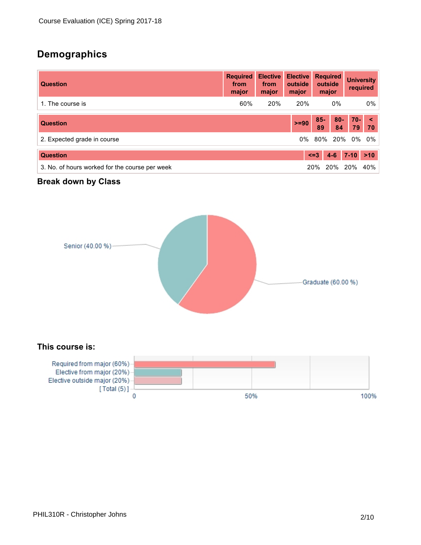# **Demographics**

| <b>Question</b>                                | <b>Required</b><br>from<br>major | <b>Elective</b><br>from<br>major | <b>Elective</b><br>outside<br>major |              | <b>Required</b><br>outside<br>major |              | <b>University</b><br>required |
|------------------------------------------------|----------------------------------|----------------------------------|-------------------------------------|--------------|-------------------------------------|--------------|-------------------------------|
| 1. The course is                               | 60%                              | 20%                              | 20%                                 |              | $0\%$                               |              | 0%                            |
| <b>Question</b>                                |                                  |                                  | $>= 90$                             | $85 -$<br>89 | $80 -$<br>84                        | $70 -$<br>79 | $\prec$<br>70                 |
| 2. Expected grade in course                    |                                  |                                  | 0%                                  |              | 80% 20%                             | 0%           | 0%                            |
| <b>Question</b>                                |                                  |                                  |                                     | $\leq$ = 3   | $4 - 6$                             | $7 - 10$     | $>10$                         |
| 3. No. of hours worked for the course per week |                                  |                                  |                                     | <b>20%</b>   | 20%                                 | <b>20%</b>   | 40%                           |

# **Break down by Class**



### **This course is:**

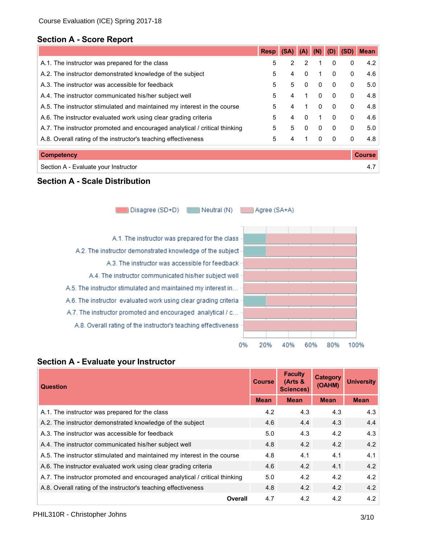# **Section A - Score Report**

|                                                                            | <b>Resp</b> | (SA)           | (A)          |              | (D)          | (SD)         | <b>Mean</b>   |
|----------------------------------------------------------------------------|-------------|----------------|--------------|--------------|--------------|--------------|---------------|
| A.1. The instructor was prepared for the class                             | 5           | $\overline{2}$ | 2            |              | $\mathbf{0}$ | 0            | 4.2           |
| A.2. The instructor demonstrated knowledge of the subject                  | 5           | 4              | $\mathbf{0}$ | 1            | $\mathbf{0}$ | 0            | 4.6           |
| A.3. The instructor was accessible for feedback                            | 5           | 5              | $\mathbf{0}$ | $\mathbf{0}$ | $\Omega$     | $\mathbf{0}$ | 5.0           |
| A.4. The instructor communicated his/her subject well                      | 5           | 4              |              | $\mathbf{0}$ | $\mathbf{0}$ | $\mathbf{0}$ | 4.8           |
| A.5. The instructor stimulated and maintained my interest in the course    | 5           | 4              |              | $\mathbf{0}$ | $\Omega$     | $\mathbf{0}$ | 4.8           |
| A.6. The instructor evaluated work using clear grading criteria            | 5           | 4              | $\mathbf{0}$ | 1            | $\Omega$     | 0            | 4.6           |
| A.7. The instructor promoted and encouraged analytical / critical thinking | 5           | 5              | $\mathbf{0}$ | 0            | $\mathbf{0}$ | $\mathbf{0}$ | 5.0           |
| A.8. Overall rating of the instructor's teaching effectiveness             | 5           | 4              |              | 0            | $\mathbf{0}$ | 0            | 4.8           |
| <b>Competency</b>                                                          |             |                |              |              |              |              | <b>Course</b> |
| Section A - Evaluate your Instructor                                       |             |                |              |              |              |              | 4.7           |

### **Section A - Scale Distribution**

Disagree (SD+D) Neutral (N) Agree (SA+A)

A.1. The instructor was prepared for the class A.2. The instructor demonstrated knowledge of the subject A.3. The instructor was accessible for feedback A.4. The instructor communicated his/her subject well A.5. The instructor stimulated and maintained my interest in... A.6. The instructor evaluated work using clear grading criteria A.7. The instructor promoted and encouraged analytical / c... A.8. Overall rating of the instructor's teaching effectiveness



### **Section A - Evaluate your Instructor**

| <b>Question</b>                                                            | <b>Course</b> | <b>Faculty</b><br>(Arts &<br><b>Sciences)</b> | <b>Category</b><br>(OAHM) | <b>University</b> |
|----------------------------------------------------------------------------|---------------|-----------------------------------------------|---------------------------|-------------------|
|                                                                            | <b>Mean</b>   | <b>Mean</b>                                   | <b>Mean</b>               | <b>Mean</b>       |
| A.1. The instructor was prepared for the class                             | 4.2           | 4.3                                           | 4.3                       | 4.3               |
| A.2. The instructor demonstrated knowledge of the subject                  | 4.6           | 4.4                                           | 4.3                       | 4.4               |
| A.3. The instructor was accessible for feedback                            | 5.0           | 4.3                                           | 4.2                       | 4.3               |
| A.4. The instructor communicated his/her subject well                      | 4.8           | 4.2                                           | 4.2                       | 4.2               |
| A.5. The instructor stimulated and maintained my interest in the course    | 4.8           | 4.1                                           | 4.1                       | 4.1               |
| A.6. The instructor evaluated work using clear grading criteria            | 4.6           | 4.2                                           | 4.1                       | 4.2               |
| A.7. The instructor promoted and encouraged analytical / critical thinking | 5.0           | 4.2                                           | 4.2                       | 4.2               |
| A.8. Overall rating of the instructor's teaching effectiveness             | 4.8           | 4.2                                           | 4.2                       | 4.2               |
| Overall                                                                    | 4.7           | 4.2                                           | 4.2                       | 4.2               |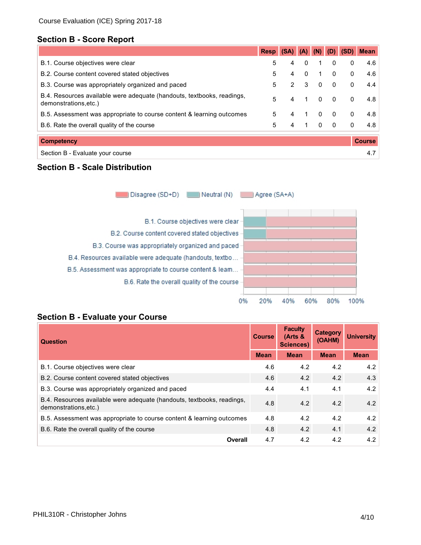# **Section B - Score Report**

|                                                                                                 | <b>Resp</b> | (SA)           | (A)      | (N)          | (D)            |   | <b>Mean</b>   |
|-------------------------------------------------------------------------------------------------|-------------|----------------|----------|--------------|----------------|---|---------------|
| B.1. Course objectives were clear                                                               | 5           | 4              | 0        | 1            | 0              | 0 | 4.6           |
| B.2. Course content covered stated objectives                                                   | 5           | 4              | $\Omega$ | $\mathbf{1}$ | $\mathbf{0}$   | 0 | 4.6           |
| B.3. Course was appropriately organized and paced                                               | 5           | $\overline{2}$ | -3       | $\Omega$     | $\Omega$       | 0 | 4.4           |
| B.4. Resources available were adequate (handouts, textbooks, readings,<br>demonstrations, etc.) | 5           | 4              | 1        | $\Omega$     | $\mathbf{0}$   | 0 | 4.8           |
| B.5. Assessment was appropriate to course content & learning outcomes                           | 5           | 4              | 1        | $\mathbf{0}$ | $\mathbf{0}$   | 0 | 4.8           |
| B.6. Rate the overall quality of the course                                                     | 5           | 4              | 1        | $\Omega$     | $\overline{0}$ | 0 | 4.8           |
| <b>Competency</b>                                                                               |             |                |          |              |                |   | <b>Course</b> |
| Section B - Evaluate your course                                                                |             |                |          |              |                |   | 4.7           |

# **Section B - Scale Distribution**

Disagree (SD+D) Neutral (N) Agree (SA+A)





### **Section B - Evaluate your Course**

| <b>Course</b><br><b>Question</b>                                                               |             | <b>Faculty</b><br>$Arts$ &<br><b>Sciences)</b> | <b>Category</b><br>(OAHM) | <b>University</b> |
|------------------------------------------------------------------------------------------------|-------------|------------------------------------------------|---------------------------|-------------------|
|                                                                                                | <b>Mean</b> | <b>Mean</b>                                    | <b>Mean</b>               | <b>Mean</b>       |
| B.1. Course objectives were clear                                                              | 4.6         | 4.2                                            | 4.2                       | 4.2               |
| B.2. Course content covered stated objectives                                                  | 4.6         | 4.2                                            | 4.2                       | 4.3               |
| B.3. Course was appropriately organized and paced                                              | 4.4         | 4.1                                            | 4.1                       | 4.2               |
| B.4. Resources available were adequate (handouts, textbooks, readings,<br>demonstrations.etc.) | 4.8         | 4.2                                            | 4.2                       | 4.2               |
| B.5. Assessment was appropriate to course content & learning outcomes                          | 4.8         | 4.2                                            | 4.2                       | 4.2               |
| B.6. Rate the overall quality of the course                                                    | 4.8         | 4.2                                            | 4.1                       | 4.2               |
| Overall                                                                                        | 4.7         | 4.2                                            | 4.2                       | 4.2               |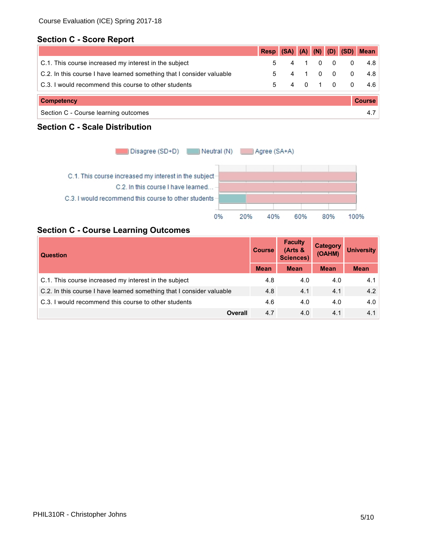# **Section C - Score Report**

|                                                                       | <b>Resp</b>   | $(SA)$ $(A)$ $(N)$ $(D)$ |                 |         |            | (SD)     | <b>Mean</b> |
|-----------------------------------------------------------------------|---------------|--------------------------|-----------------|---------|------------|----------|-------------|
| C.1. This course increased my interest in the subject                 | 5             | 4                        | $\sim$ 1 $\sim$ |         | $0\quad 0$ | $\Omega$ | 4.8         |
| C.2. In this course I have learned something that I consider valuable | 5             |                          |                 |         | $0\quad 0$ | $\Omega$ | 4.8         |
| C.3. I would recommend this course to other students                  | 5             |                          |                 | 4 0 1 0 |            | $\Omega$ | 4.6         |
| <b>Competency</b>                                                     | <b>Course</b> |                          |                 |         |            |          |             |
| Section C - Course learning outcomes                                  |               |                          |                 |         |            |          | 4.7         |

# **Section C - Scale Distribution**



# **Section C - Course Learning Outcomes**

| <b>Course</b><br><b>Question</b>                                      |             | <b>Faculty</b><br>$Arts$ &<br><b>Sciences)</b> | <b>Category</b><br>(OAHM) | <b>University</b> |
|-----------------------------------------------------------------------|-------------|------------------------------------------------|---------------------------|-------------------|
|                                                                       | <b>Mean</b> | <b>Mean</b>                                    | <b>Mean</b>               | <b>Mean</b>       |
| C.1. This course increased my interest in the subject                 | 4.8         | 4.0                                            | 4.0                       | 4.1               |
| C.2. In this course I have learned something that I consider valuable | 4.8         | 4.1                                            | 4.1                       | 4.2               |
| C.3. I would recommend this course to other students                  | 4.6         | 4.0                                            | 4.0                       | 4.0               |
| <b>Overall</b>                                                        | 4.7         | 4.0                                            | 4.1                       | 4.1               |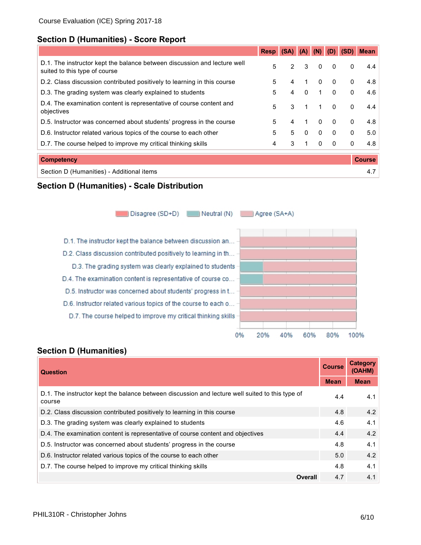# **Section D (Humanities) - Score Report**

|                                                                                                           | <b>Resp</b> | (SA)           | (A)            | (N)          | (D)          | (SD)         | <b>Mean</b>   |
|-----------------------------------------------------------------------------------------------------------|-------------|----------------|----------------|--------------|--------------|--------------|---------------|
| D.1. The instructor kept the balance between discussion and lecture well<br>suited to this type of course | 5           | $\overline{2}$ | 3              | 0            | $\mathbf{0}$ | 0            | 4.4           |
| D.2. Class discussion contributed positively to learning in this course                                   | 5           | 4              | 1              | 0            | $\Omega$     | $\mathbf{0}$ | 4.8           |
| D.3. The grading system was clearly explained to students                                                 | 5           | 4              | $\mathbf{0}$   | 1            | $\Omega$     | $\mathbf{0}$ | 4.6           |
| D.4. The examination content is representative of course content and<br>objectives                        | 5           | 3              | $\overline{1}$ | $\mathbf 1$  | $\Omega$     | 0            | 4.4           |
| D.5. Instructor was concerned about students' progress in the course                                      | 5           | 4              | 1              | $\mathbf{0}$ | $\Omega$     | $\mathbf{0}$ | 4.8           |
| D.6. Instructor related various topics of the course to each other                                        | 5           | 5              | $\Omega$       | $\mathbf{0}$ | $\Omega$     | $\mathbf{0}$ | 5.0           |
| D.7. The course helped to improve my critical thinking skills                                             | 4           | 3              | 1              | $\mathbf{0}$ | $\Omega$     | $\mathbf{0}$ | 4.8           |
| <b>Competency</b>                                                                                         |             |                |                |              |              |              | <b>Course</b> |

| Section D (Humanities) - Additional items |  |
|-------------------------------------------|--|
|-------------------------------------------|--|

### **Section D (Humanities) - Scale Distribution**

Disagree (SD+D) Neutral (N)

Agree (SA+A)

D.1. The instructor kept the balance between discussion an... D.2. Class discussion contributed positively to learning in th... D.3. The grading system was clearly explained to students D.4. The examination content is representative of course co... D.5. Instructor was concerned about students' progress in t... D.6. Instructor related various topics of the course to each o... D.7. The course helped to improve my critical thinking skills



#### **Question Course Category (OAHM) Mean Mean** D.1. The instructor kept the balance between discussion and lecture well suited to this type of course 4.4 4.1 D.2. Class discussion contributed positively to learning in this course **1998** 4.8 4.2 4.2 D.3. The grading system was clearly explained to students **4.6** 4.1 D.4. The examination content is representative of course content and objectives 4.4 4.2 4.2 D.5. Instructor was concerned about students' progress in the course  $4.8$  4.1 4.1 D.6. Instructor related various topics of the course to each other 5.0 5.0 4.2 D.7. The course helped to improve my critical thinking skills 4.8 4.1 **Overall** 4.7 4.1

# **Section D (Humanities)**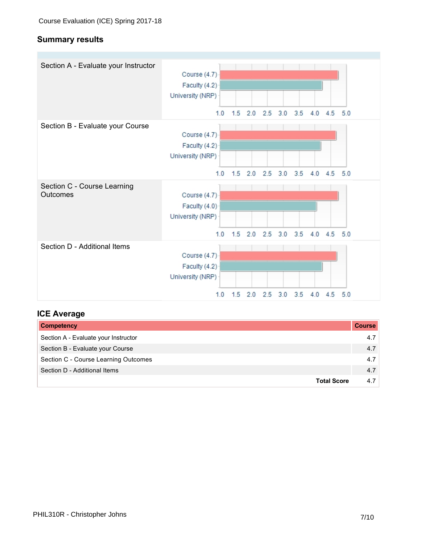# **Summary results**

| Section A - Evaluate your Instructor    | Course (4.7)<br>Faculty (4.2)<br>University (NRP)        |     |           |     |           |                            |     |             |     |
|-----------------------------------------|----------------------------------------------------------|-----|-----------|-----|-----------|----------------------------|-----|-------------|-----|
|                                         | 1.0                                                      | 1.5 | 2.0       | 2.5 | 3.0       | 3.5                        | 4.0 | $4.5$ $5.0$ |     |
| Section B - Evaluate your Course        | Course (4.7)<br>Faculty (4.2)<br>University (NRP)        |     |           |     |           |                            |     |             |     |
|                                         | 1.0                                                      |     | $1.5$ 2.0 |     | $2.5$ 3.0 | 3.5                        | 4.0 | 4.5         | 5.0 |
| Section C - Course Learning<br>Outcomes | Course (4.7)<br>Faculty (4.0)<br>University (NRP)<br>1.0 | 1.5 | 2.0       |     | $2.5$ 3.0 | 3.5                        | 4.0 | $4.5$ $5.0$ |     |
| Section D - Additional Items            | Course (4.7)<br>Faculty (4.2)<br>University (NRP)        |     |           |     |           |                            |     |             |     |
|                                         |                                                          |     |           |     |           | 10 15 20 25 30 35 40 45 50 |     |             |     |

# **ICE Average**

| <b>Competency</b>                    | <b>Course</b> |
|--------------------------------------|---------------|
| Section A - Evaluate your Instructor | 4.7           |
| Section B - Evaluate your Course     | 4.7           |
| Section C - Course Learning Outcomes | 4.7           |
| Section D - Additional Items         | 4.7           |
| <b>Total Score</b>                   | 4.7           |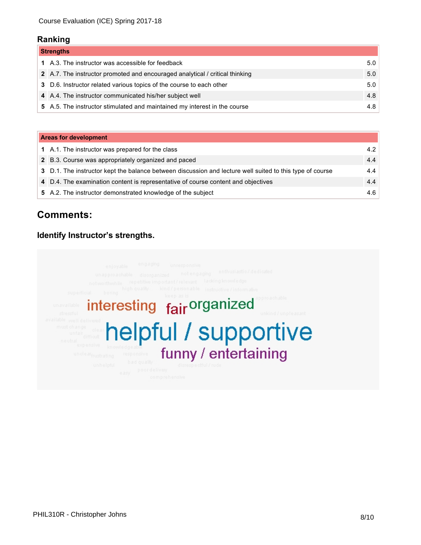#### **Ranking**

| <b>Strengths</b> |                                                                              |     |
|------------------|------------------------------------------------------------------------------|-----|
|                  | 1 A.3. The instructor was accessible for feedback                            | 5.0 |
|                  | 2 A.7. The instructor promoted and encouraged analytical / critical thinking | 5.0 |
|                  | 3 D.6. Instructor related various topics of the course to each other         | 5.0 |
|                  | 4 A.4. The instructor communicated his/her subject well                      | 4.8 |
|                  | 5 A.5. The instructor stimulated and maintained my interest in the course    | 4.8 |

| <b>Areas for development</b> |                                                                                                          |     |  |
|------------------------------|----------------------------------------------------------------------------------------------------------|-----|--|
|                              | 1 A.1. The instructor was prepared for the class                                                         | 4.2 |  |
|                              | 2 B.3. Course was appropriately organized and paced                                                      | 4.4 |  |
|                              | 3 D.1. The instructor kept the balance between discussion and lecture well suited to this type of course | 4.4 |  |
|                              | 4 D.4. The examination content is representative of course content and objectives                        | 4.4 |  |
|                              | 5 A.2. The instructor demonstrated knowledge of the subject                                              | 4.6 |  |

# **Comments:**

# **Identify Instructor's strengths.**

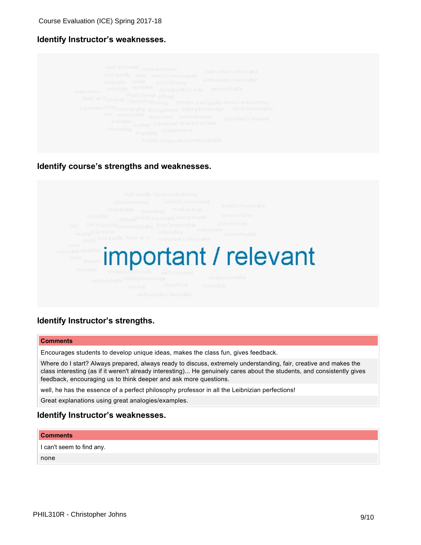### **Identify Instructor's weaknesses.**

| well delivered comprehensive<br>instructive / informative<br>high quality easy unkind/unpleasant<br>enthusiastic/dedicated<br>enjoyable unfair poordelivery<br>unhelpful repetitive disrespectful/rude approachable<br>responsive<br>must change difficult<br>keep as is unclear frustrating boring stressful bad quality funny/entertaining<br>organized clearnot engaging disorganized lacking knowledge kind/personable<br>fair unavailable expensive notworthwhile<br>important/relevant<br>available<br>neutral superficial unapproachable<br>interesting<br>engaging unresponsive<br>helpful/supportive knowledgeable |  |
|-----------------------------------------------------------------------------------------------------------------------------------------------------------------------------------------------------------------------------------------------------------------------------------------------------------------------------------------------------------------------------------------------------------------------------------------------------------------------------------------------------------------------------------------------------------------------------------------------------------------------------|--|
|-----------------------------------------------------------------------------------------------------------------------------------------------------------------------------------------------------------------------------------------------------------------------------------------------------------------------------------------------------------------------------------------------------------------------------------------------------------------------------------------------------------------------------------------------------------------------------------------------------------------------------|--|

#### **Identify course's strengths and weaknesses.**



### **Identify Instructor's strengths.**

#### **Comments**

Encourages students to develop unique ideas, makes the class fun, gives feedback.

Where do I start? Always prepared, always ready to discuss, extremely understanding, fair, creative and makes the class interesting (as if it weren't already interesting)... He genuinely cares about the students, and consistently gives feedback, encouraging us to think deeper and ask more questions.

well, he has the essence of a perfect philosophy professor in all the Leibnizian perfections!

Great explanations using great analogies/examples.

#### **Identify Instructor's weaknesses.**

#### **Comments**

I can't seem to find any. none